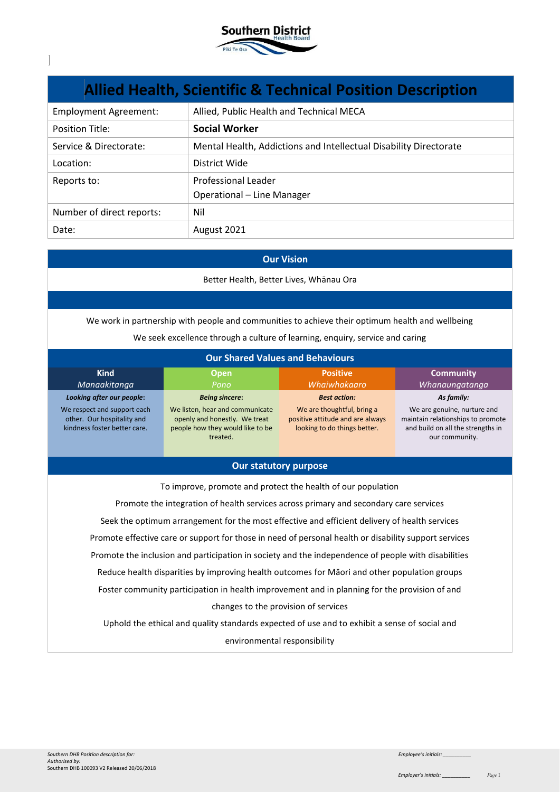

| <b>Allied Health, Scientific &amp; Technical Position Description</b> |                                                                   |  |
|-----------------------------------------------------------------------|-------------------------------------------------------------------|--|
| <b>Employment Agreement:</b>                                          | Allied, Public Health and Technical MECA                          |  |
| <b>Position Title:</b>                                                | <b>Social Worker</b>                                              |  |
| Service & Directorate:                                                | Mental Health, Addictions and Intellectual Disability Directorate |  |
| Location:                                                             | District Wide                                                     |  |
| Reports to:                                                           | Professional Leader                                               |  |
|                                                                       | Operational - Line Manager                                        |  |
| Number of direct reports:                                             | Nil                                                               |  |
| Date:                                                                 | August 2021                                                       |  |

#### **Our Vision**

Better Health, Better Lives, Whānau Ora

We work in partnership with people and communities to achieve their optimum health and wellbeing

We seek excellence through a culture of learning, enquiry, service and caring

| <b>Our Shared Values and Behaviours</b>                                                   |                                                                                                                  |                                                                                                |                                                                                                                         |
|-------------------------------------------------------------------------------------------|------------------------------------------------------------------------------------------------------------------|------------------------------------------------------------------------------------------------|-------------------------------------------------------------------------------------------------------------------------|
| <b>Kind</b><br>Manaakitanga                                                               | <b>Open</b><br>Pono                                                                                              | <b>Positive</b><br>Whaiwhakaaro                                                                | <b>Community</b><br>Whanaungatanga                                                                                      |
| Looking after our people:                                                                 | <b>Being sincere:</b>                                                                                            | <b>Best action:</b>                                                                            | As family:                                                                                                              |
| We respect and support each<br>other. Our hospitality and<br>kindness foster better care. | We listen, hear and communicate<br>openly and honestly. We treat<br>people how they would like to be<br>treated. | We are thoughtful, bring a<br>positive attitude and are always<br>looking to do things better. | We are genuine, nurture and<br>maintain relationships to promote<br>and build on all the strengths in<br>our community. |

### **Our statutory purpose**

To improve, promote and protect the health of our population Promote the integration of health services across primary and secondary care services Seek the optimum arrangement for the most effective and efficient delivery of health services Promote effective care or support for those in need of personal health or disability support services Promote the inclusion and participation in society and the independence of people with disabilities Reduce health disparities by improving health outcomes for Māori and other population groups Foster community participation in health improvement and in planning for the provision of and changes to the provision of services Uphold the ethical and quality standards expected of use and to exhibit a sense of social and

environmental responsibility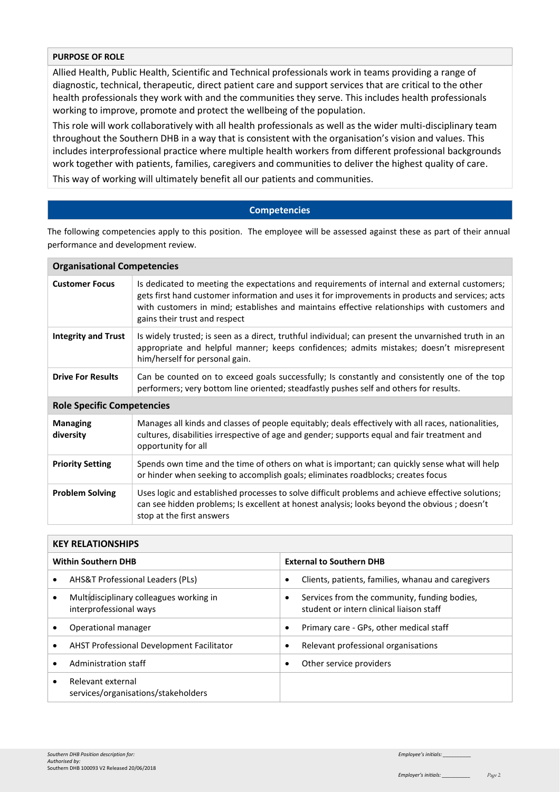#### **PURPOSE OF ROLE**

Allied Health, Public Health, Scientific and Technical professionals work in teams providing a range of diagnostic, technical, therapeutic, direct patient care and support services that are critical to the other health professionals they work with and the communities they serve. This includes health professionals working to improve, promote and protect the wellbeing of the population.

This role will work collaboratively with all health professionals as well as the wider multi-disciplinary team throughout the Southern DHB in a way that is consistent with the organisation's vision and values. This includes interprofessional practice where multiple health workers from different professional backgrounds work together with patients, families, caregivers and communities to deliver the highest quality of care.

This way of working will ultimately benefit all our patients and communities.

### **Competencies**

The following competencies apply to this position. The employee will be assessed against these as part of their annual performance and development review.

| <b>Organisational Competencies</b> |                                                                                                                                                                                                                                                                                                                                    |  |
|------------------------------------|------------------------------------------------------------------------------------------------------------------------------------------------------------------------------------------------------------------------------------------------------------------------------------------------------------------------------------|--|
| <b>Customer Focus</b>              | Is dedicated to meeting the expectations and requirements of internal and external customers;<br>gets first hand customer information and uses it for improvements in products and services; acts<br>with customers in mind; establishes and maintains effective relationships with customers and<br>gains their trust and respect |  |
| <b>Integrity and Trust</b>         | Is widely trusted; is seen as a direct, truthful individual; can present the unvarnished truth in an<br>appropriate and helpful manner; keeps confidences; admits mistakes; doesn't misrepresent<br>him/herself for personal gain.                                                                                                 |  |
| <b>Drive For Results</b>           | Can be counted on to exceed goals successfully; Is constantly and consistently one of the top<br>performers; very bottom line oriented; steadfastly pushes self and others for results.                                                                                                                                            |  |
| <b>Role Specific Competencies</b>  |                                                                                                                                                                                                                                                                                                                                    |  |
| <b>Managing</b><br>diversity       | Manages all kinds and classes of people equitably; deals effectively with all races, nationalities,<br>cultures, disabilities irrespective of age and gender; supports equal and fair treatment and<br>opportunity for all                                                                                                         |  |
| <b>Priority Setting</b>            | Spends own time and the time of others on what is important; can quickly sense what will help<br>or hinder when seeking to accomplish goals; eliminates roadblocks; creates focus                                                                                                                                                  |  |
| <b>Problem Solving</b>             | Uses logic and established processes to solve difficult problems and achieve effective solutions;<br>can see hidden problems; Is excellent at honest analysis; looks beyond the obvious; doesn't<br>stop at the first answers                                                                                                      |  |

| <b>KEY RELATIONSHIPS</b>   |                                                                   |                                 |                                                                                          |
|----------------------------|-------------------------------------------------------------------|---------------------------------|------------------------------------------------------------------------------------------|
| <b>Within Southern DHB</b> |                                                                   | <b>External to Southern DHB</b> |                                                                                          |
|                            | <b>AHS&amp;T Professional Leaders (PLs)</b>                       | ٠                               | Clients, patients, families, whanau and caregivers                                       |
|                            | Multidisciplinary colleagues working in<br>interprofessional ways |                                 | Services from the community, funding bodies,<br>student or intern clinical liaison staff |
|                            | Operational manager                                               |                                 | Primary care - GPs, other medical staff                                                  |
|                            | <b>AHST Professional Development Facilitator</b>                  |                                 | Relevant professional organisations                                                      |
|                            | Administration staff                                              |                                 | Other service providers                                                                  |
|                            | Relevant external<br>services/organisations/stakeholders          |                                 |                                                                                          |
|                            |                                                                   |                                 |                                                                                          |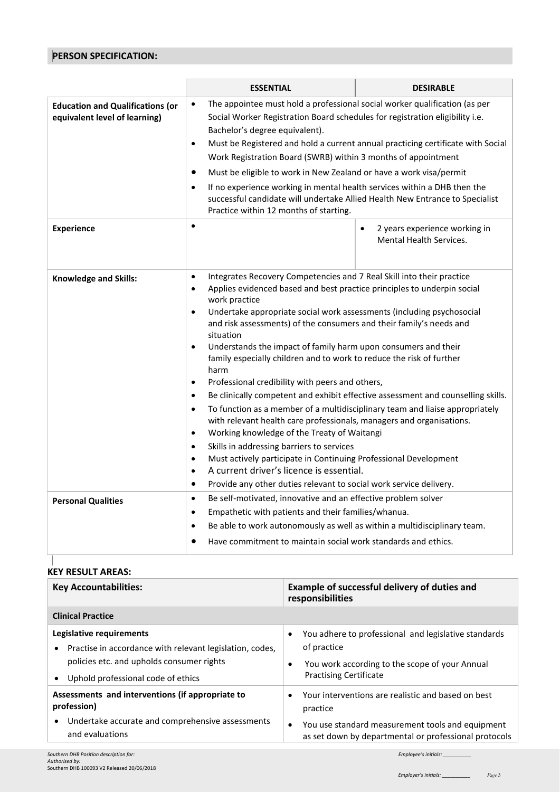# **PERSON SPECIFICATION:**

|                                                                          | <b>ESSENTIAL</b>                                                                                                                                                                                                                                                                                                                                                                                                                                                                                                                                                                                                                                                                                                                                                                                                                                                                                                                                                                                                                                                                                                                                                                                    | <b>DESIRABLE</b>                                                                                                     |  |
|--------------------------------------------------------------------------|-----------------------------------------------------------------------------------------------------------------------------------------------------------------------------------------------------------------------------------------------------------------------------------------------------------------------------------------------------------------------------------------------------------------------------------------------------------------------------------------------------------------------------------------------------------------------------------------------------------------------------------------------------------------------------------------------------------------------------------------------------------------------------------------------------------------------------------------------------------------------------------------------------------------------------------------------------------------------------------------------------------------------------------------------------------------------------------------------------------------------------------------------------------------------------------------------------|----------------------------------------------------------------------------------------------------------------------|--|
| <b>Education and Qualifications (or</b><br>equivalent level of learning) | The appointee must hold a professional social worker qualification (as per<br>$\bullet$<br>Social Worker Registration Board schedules for registration eligibility i.e.<br>Bachelor's degree equivalent).<br>Must be Registered and hold a current annual practicing certificate with Social<br>$\bullet$<br>Work Registration Board (SWRB) within 3 months of appointment<br>Must be eligible to work in New Zealand or have a work visa/permit<br>$\bullet$<br>If no experience working in mental health services within a DHB then the<br>$\bullet$<br>successful candidate will undertake Allied Health New Entrance to Specialist<br>Practice within 12 months of starting.                                                                                                                                                                                                                                                                                                                                                                                                                                                                                                                    |                                                                                                                      |  |
| <b>Experience</b>                                                        | $\bullet$                                                                                                                                                                                                                                                                                                                                                                                                                                                                                                                                                                                                                                                                                                                                                                                                                                                                                                                                                                                                                                                                                                                                                                                           | 2 years experience working in<br>$\bullet$<br><b>Mental Health Services.</b>                                         |  |
| <b>Knowledge and Skills:</b>                                             | Integrates Recovery Competencies and 7 Real Skill into their practice<br>$\bullet$<br>Applies evidenced based and best practice principles to underpin social<br>$\bullet$<br>work practice<br>Undertake appropriate social work assessments (including psychosocial<br>$\bullet$<br>and risk assessments) of the consumers and their family's needs and<br>situation<br>Understands the impact of family harm upon consumers and their<br>$\bullet$<br>family especially children and to work to reduce the risk of further<br>harm<br>Professional credibility with peers and others,<br>$\bullet$<br>Be clinically competent and exhibit effective assessment and counselling skills.<br>$\bullet$<br>To function as a member of a multidisciplinary team and liaise appropriately<br>$\bullet$<br>with relevant health care professionals, managers and organisations.<br>Working knowledge of the Treaty of Waitangi<br>$\bullet$<br>Skills in addressing barriers to services<br>Must actively participate in Continuing Professional Development<br>$\bullet$<br>A current driver's licence is essential.<br>Provide any other duties relevant to social work service delivery.<br>$\bullet$ |                                                                                                                      |  |
| <b>Personal Qualities</b>                                                | $\bullet$<br>$\bullet$<br>Be able to work autonomously as well as within a multidisciplinary team.<br>$\bullet$                                                                                                                                                                                                                                                                                                                                                                                                                                                                                                                                                                                                                                                                                                                                                                                                                                                                                                                                                                                                                                                                                     | Be self-motivated, innovative and an effective problem solver<br>Empathetic with patients and their families/whanua. |  |
|                                                                          | Have commitment to maintain social work standards and ethics.<br>$\bullet$                                                                                                                                                                                                                                                                                                                                                                                                                                                                                                                                                                                                                                                                                                                                                                                                                                                                                                                                                                                                                                                                                                                          |                                                                                                                      |  |

## **KEY RESULT AREAS:**

| <b>Key Accountabilities:</b>                                                                                                                                              | Example of successful delivery of duties and<br>responsibilities                                                                                                                 |  |
|---------------------------------------------------------------------------------------------------------------------------------------------------------------------------|----------------------------------------------------------------------------------------------------------------------------------------------------------------------------------|--|
| <b>Clinical Practice</b>                                                                                                                                                  |                                                                                                                                                                                  |  |
| Legislative requirements<br>• Practise in accordance with relevant legislation, codes,<br>policies etc. and upholds consumer rights<br>Uphold professional code of ethics | You adhere to professional and legislative standards<br>$\bullet$<br>of practice<br>You work according to the scope of your Annual<br>$\bullet$<br><b>Practising Certificate</b> |  |
| Assessments and interventions (if appropriate to<br>profession)                                                                                                           | Your interventions are realistic and based on best<br>$\bullet$<br>practice                                                                                                      |  |
| Undertake accurate and comprehensive assessments<br>and evaluations                                                                                                       | You use standard measurement tools and equipment<br>$\bullet$<br>as set down by departmental or professional protocols                                                           |  |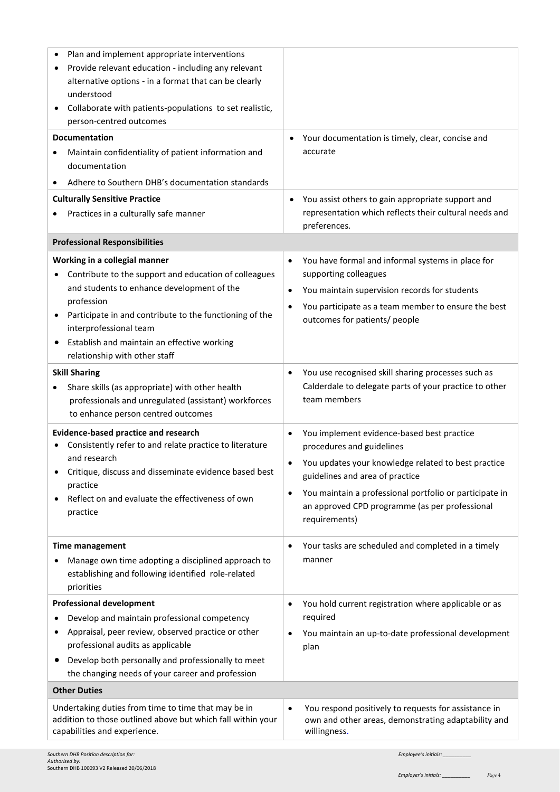| Plan and implement appropriate interventions<br>Provide relevant education - including any relevant<br>alternative options - in a format that can be clearly<br>understood<br>Collaborate with patients-populations to set realistic,<br>person-centred outcomes<br><b>Documentation</b><br>Maintain confidentiality of patient information and<br>documentation<br>Adhere to Southern DHB's documentation standards<br><b>Culturally Sensitive Practice</b><br>Practices in a culturally safe manner | Your documentation is timely, clear, concise and<br>$\bullet$<br>accurate<br>You assist others to gain appropriate support and<br>$\bullet$<br>representation which reflects their cultural needs and                                                                                                                                  |
|-------------------------------------------------------------------------------------------------------------------------------------------------------------------------------------------------------------------------------------------------------------------------------------------------------------------------------------------------------------------------------------------------------------------------------------------------------------------------------------------------------|----------------------------------------------------------------------------------------------------------------------------------------------------------------------------------------------------------------------------------------------------------------------------------------------------------------------------------------|
|                                                                                                                                                                                                                                                                                                                                                                                                                                                                                                       | preferences.                                                                                                                                                                                                                                                                                                                           |
| <b>Professional Responsibilities</b>                                                                                                                                                                                                                                                                                                                                                                                                                                                                  |                                                                                                                                                                                                                                                                                                                                        |
| Working in a collegial manner<br>Contribute to the support and education of colleagues<br>and students to enhance development of the<br>profession<br>Participate in and contribute to the functioning of the<br>٠<br>interprofessional team<br>Establish and maintain an effective working<br>٠<br>relationship with other staff                                                                                                                                                                     | You have formal and informal systems in place for<br>$\bullet$<br>supporting colleagues<br>You maintain supervision records for students<br>$\bullet$<br>You participate as a team member to ensure the best<br>$\bullet$<br>outcomes for patients/ people                                                                             |
| <b>Skill Sharing</b><br>Share skills (as appropriate) with other health<br>٠<br>professionals and unregulated (assistant) workforces<br>to enhance person centred outcomes                                                                                                                                                                                                                                                                                                                            | You use recognised skill sharing processes such as<br>٠<br>Calderdale to delegate parts of your practice to other<br>team members                                                                                                                                                                                                      |
| <b>Evidence-based practice and research</b><br>Consistently refer to and relate practice to literature<br>and research<br>Critique, discuss and disseminate evidence based best<br>practice<br>Reflect on and evaluate the effectiveness of own<br>practice                                                                                                                                                                                                                                           | You implement evidence-based best practice<br>$\bullet$<br>procedures and guidelines<br>You updates your knowledge related to best practice<br>$\bullet$<br>guidelines and area of practice<br>You maintain a professional portfolio or participate in<br>$\bullet$<br>an approved CPD programme (as per professional<br>requirements) |
| <b>Time management</b><br>Manage own time adopting a disciplined approach to<br>establishing and following identified role-related<br>priorities                                                                                                                                                                                                                                                                                                                                                      | Your tasks are scheduled and completed in a timely<br>$\bullet$<br>manner                                                                                                                                                                                                                                                              |
| <b>Professional development</b><br>Develop and maintain professional competency<br>Appraisal, peer review, observed practice or other<br>professional audits as applicable<br>Develop both personally and professionally to meet<br>the changing needs of your career and profession                                                                                                                                                                                                                  | You hold current registration where applicable or as<br>٠<br>required<br>You maintain an up-to-date professional development<br>$\bullet$<br>plan                                                                                                                                                                                      |
| <b>Other Duties</b>                                                                                                                                                                                                                                                                                                                                                                                                                                                                                   |                                                                                                                                                                                                                                                                                                                                        |
| Undertaking duties from time to time that may be in<br>addition to those outlined above but which fall within your<br>capabilities and experience.                                                                                                                                                                                                                                                                                                                                                    | You respond positively to requests for assistance in<br>$\bullet$<br>own and other areas, demonstrating adaptability and<br>willingness.                                                                                                                                                                                               |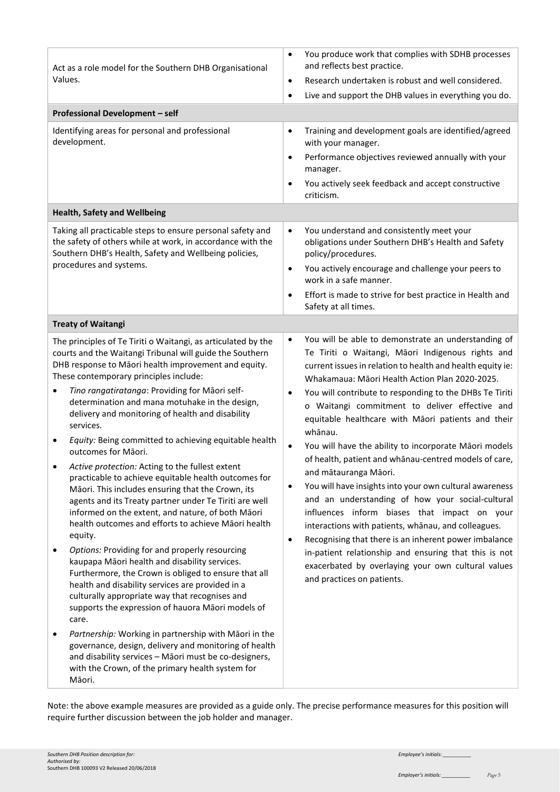| Act as a role model for the Southern DHB Organisational<br>Values.<br><b>Professional Development - self</b><br>Identifying areas for personal and professional<br>development.                                                                                                                                                                                                                                                                                                                                                                                                                                                                                                                                                                                                                                                                                                                                                                                                                                                                                                                                                                                                                                                                                                                                                                                                                                | You produce work that complies with SDHB processes<br>$\bullet$<br>and reflects best practice.<br>Research undertaken is robust and well considered.<br>$\bullet$<br>Live and support the DHB values in everything you do.<br>$\bullet$<br>Training and development goals are identified/agreed<br>$\bullet$<br>with your manager.<br>Performance objectives reviewed annually with your<br>$\bullet$<br>manager.<br>You actively seek feedback and accept constructive<br>$\bullet$<br>criticism.                                                                                                                                                                                                                                                                                                                                                                                                                                                                                                                                             |
|----------------------------------------------------------------------------------------------------------------------------------------------------------------------------------------------------------------------------------------------------------------------------------------------------------------------------------------------------------------------------------------------------------------------------------------------------------------------------------------------------------------------------------------------------------------------------------------------------------------------------------------------------------------------------------------------------------------------------------------------------------------------------------------------------------------------------------------------------------------------------------------------------------------------------------------------------------------------------------------------------------------------------------------------------------------------------------------------------------------------------------------------------------------------------------------------------------------------------------------------------------------------------------------------------------------------------------------------------------------------------------------------------------------|------------------------------------------------------------------------------------------------------------------------------------------------------------------------------------------------------------------------------------------------------------------------------------------------------------------------------------------------------------------------------------------------------------------------------------------------------------------------------------------------------------------------------------------------------------------------------------------------------------------------------------------------------------------------------------------------------------------------------------------------------------------------------------------------------------------------------------------------------------------------------------------------------------------------------------------------------------------------------------------------------------------------------------------------|
| <b>Health, Safety and Wellbeing</b>                                                                                                                                                                                                                                                                                                                                                                                                                                                                                                                                                                                                                                                                                                                                                                                                                                                                                                                                                                                                                                                                                                                                                                                                                                                                                                                                                                            |                                                                                                                                                                                                                                                                                                                                                                                                                                                                                                                                                                                                                                                                                                                                                                                                                                                                                                                                                                                                                                                |
| Taking all practicable steps to ensure personal safety and<br>the safety of others while at work, in accordance with the<br>Southern DHB's Health, Safety and Wellbeing policies,<br>procedures and systems.                                                                                                                                                                                                                                                                                                                                                                                                                                                                                                                                                                                                                                                                                                                                                                                                                                                                                                                                                                                                                                                                                                                                                                                                   | You understand and consistently meet your<br>$\bullet$<br>obligations under Southern DHB's Health and Safety<br>policy/procedures.<br>You actively encourage and challenge your peers to<br>$\bullet$<br>work in a safe manner.<br>Effort is made to strive for best practice in Health and<br>$\bullet$<br>Safety at all times.                                                                                                                                                                                                                                                                                                                                                                                                                                                                                                                                                                                                                                                                                                               |
| <b>Treaty of Waitangi</b>                                                                                                                                                                                                                                                                                                                                                                                                                                                                                                                                                                                                                                                                                                                                                                                                                                                                                                                                                                                                                                                                                                                                                                                                                                                                                                                                                                                      |                                                                                                                                                                                                                                                                                                                                                                                                                                                                                                                                                                                                                                                                                                                                                                                                                                                                                                                                                                                                                                                |
| The principles of Te Tiriti o Waitangi, as articulated by the<br>courts and the Waitangi Tribunal will guide the Southern<br>DHB response to Māori health improvement and equity.<br>These contemporary principles include:<br>Tino rangatiratanga: Providing for Māori self-<br>٠<br>determination and mana motuhake in the design,<br>delivery and monitoring of health and disability<br>services.<br>Equity: Being committed to achieving equitable health<br>outcomes for Māori.<br>Active protection: Acting to the fullest extent<br>practicable to achieve equitable health outcomes for<br>Māori. This includes ensuring that the Crown, its<br>agents and its Treaty partner under Te Tiriti are well<br>informed on the extent, and nature, of both Māori<br>health outcomes and efforts to achieve Māori health<br>equity.<br>Options: Providing for and properly resourcing<br>kaupapa Māori health and disability services.<br>Furthermore, the Crown is obliged to ensure that all<br>health and disability services are provided in a<br>culturally appropriate way that recognises and<br>supports the expression of hauora Māori models of<br>care.<br>Partnership: Working in partnership with Māori in the<br>governance, design, delivery and monitoring of health<br>and disability services - Māori must be co-designers,<br>with the Crown, of the primary health system for<br>Māori. | You will be able to demonstrate an understanding of<br>$\bullet$<br>Te Tiriti o Waitangi, Māori Indigenous rights and<br>current issues in relation to health and health equity ie:<br>Whakamaua: Māori Health Action Plan 2020-2025.<br>You will contribute to responding to the DHBs Te Tiriti<br>$\bullet$<br>o Waitangi commitment to deliver effective and<br>equitable healthcare with Māori patients and their<br>whānau.<br>You will have the ability to incorporate Māori models<br>$\bullet$<br>of health, patient and whanau-centred models of care,<br>and mātauranga Māori.<br>You will have insights into your own cultural awareness<br>$\bullet$<br>and an understanding of how your social-cultural<br>influences inform biases that impact on your<br>interactions with patients, whanau, and colleagues.<br>Recognising that there is an inherent power imbalance<br>$\bullet$<br>in-patient relationship and ensuring that this is not<br>exacerbated by overlaying your own cultural values<br>and practices on patients. |

Note: the above example measures are provided as a guide only. The precise performance measures for this position will require further discussion between the job holder and manager.